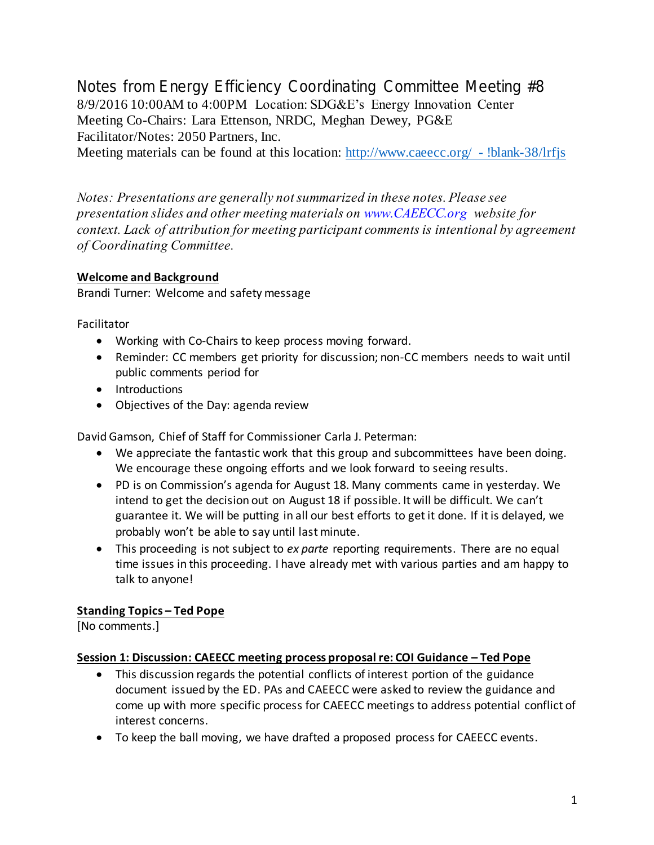Notes from Energy Efficiency Coordinating Committee Meeting #8 8/9/2016 10:00AM to 4:00PM Location: SDG&E's Energy Innovation Center Meeting Co-Chairs: Lara Ettenson, NRDC, Meghan Dewey, PG&E Facilitator/Notes: 2050 Partners, Inc.

Meeting materials can be found at this location: [http://www.caeecc.org/ -](http://www.caeecc.org/#!blank-38/lrfjs) !blank-38/lrfjs

*Notes: Presentations are generally not summarized in these notes. Please see presentation slides and other meeting materials on www.CAEECC.org website for context. Lack of attribution for meeting participant comments is intentional by agreement of Coordinating Committee.*

# **Welcome and Background**

Brandi Turner: Welcome and safety message

Facilitator

- Working with Co-Chairs to keep process moving forward.
- Reminder: CC members get priority for discussion; non-CC members needs to wait until public comments period for
- Introductions
- Objectives of the Day: agenda review

David Gamson, Chief of Staff for Commissioner Carla J. Peterman:

- We appreciate the fantastic work that this group and subcommittees have been doing. We encourage these ongoing efforts and we look forward to seeing results.
- PD is on Commission's agenda for August 18. Many comments came in yesterday. We intend to get the decision out on August 18 if possible. It will be difficult. We can't guarantee it. We will be putting in all our best efforts to get it done. If it is delayed, we probably won't be able to say until last minute.
- This proceeding is not subject to *ex parte* reporting requirements. There are no equal time issues in this proceeding. I have already met with various parties and am happy to talk to anyone!

# **Standing Topics – Ted Pope**

[No comments.]

# **Session 1: Discussion: CAEECC meeting process proposal re: COI Guidance – Ted Pope**

- This discussion regards the potential conflicts of interest portion of the guidance document issued by the ED. PAs and CAEECC were asked to review the guidance and come up with more specific process for CAEECC meetings to address potential conflict of interest concerns.
- To keep the ball moving, we have drafted a proposed process for CAEECC events.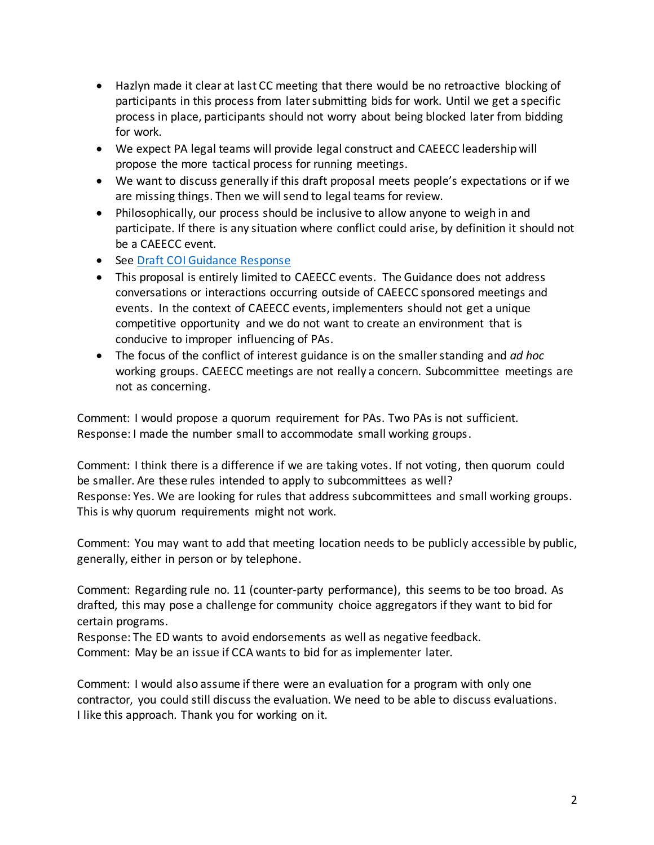- Hazlyn made it clear at last CC meeting that there would be no retroactive blocking of participants in this process from later submitting bids for work. Until we get a specific process in place, participants should not worry about being blocked later from bidding for work.
- We expect PA legal teams will provide legal construct and CAEECC leadership will propose the more tactical process for running meetings.
- We want to discuss generally if this draft proposal meets people's expectations or if we are missing things. Then we will send to legal teams for review.
- Philosophically, our process should be inclusive to allow anyone to weigh in and participate. If there is any situation where conflict could arise, by definition it should not be a CAEECC event.
- See [Draft COI Guidance Response](http://media.wix.com/ugd/0c9650_a4db761fd0e64a759b824549a1eaf435.pdf)
- This proposal is entirely limited to CAEECC events. The Guidance does not address conversations or interactions occurring outside of CAEECC sponsored meetings and events. In the context of CAEECC events, implementers should not get a unique competitive opportunity and we do not want to create an environment that is conducive to improper influencing of PAs.
- The focus of the conflict of interest guidance is on the smaller standing and *ad hoc* working groups. CAEECC meetings are not really a concern. Subcommittee meetings are not as concerning.

Comment: I would propose a quorum requirement for PAs. Two PAs is not sufficient. Response: I made the number small to accommodate small working groups.

Comment: I think there is a difference if we are taking votes. If not voting, then quorum could be smaller. Are these rules intended to apply to subcommittees as well? Response: Yes. We are looking for rules that address subcommittees and small working groups. This is why quorum requirements might not work.

Comment: You may want to add that meeting location needs to be publicly accessible by public, generally, either in person or by telephone.

Comment: Regarding rule no. 11 (counter-party performance), this seems to be too broad. As drafted, this may pose a challenge for community choice aggregators if they want to bid for certain programs.

Response: The ED wants to avoid endorsements as well as negative feedback. Comment: May be an issue if CCA wants to bid for as implementer later.

Comment: I would also assume if there were an evaluation for a program with only one contractor, you could still discuss the evaluation. We need to be able to discuss evaluations. I like this approach. Thank you for working on it.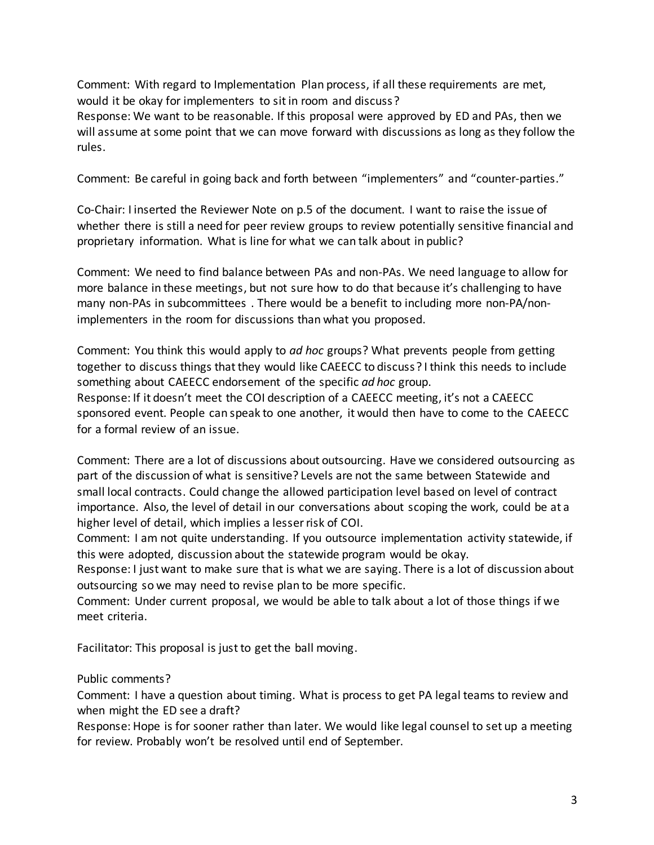Comment: With regard to Implementation Plan process, if all these requirements are met, would it be okay for implementers to sit in room and discuss?

Response: We want to be reasonable. If this proposal were approved by ED and PAs, then we will assume at some point that we can move forward with discussions as long as they follow the rules.

Comment: Be careful in going back and forth between "implementers" and "counter-parties."

Co-Chair: I inserted the Reviewer Note on p.5 of the document. I want to raise the issue of whether there is still a need for peer review groups to review potentially sensitive financial and proprietary information. What is line for what we can talk about in public?

Comment: We need to find balance between PAs and non-PAs. We need language to allow for more balance in these meetings, but not sure how to do that because it's challenging to have many non-PAs in subcommittees . There would be a benefit to including more non-PA/nonimplementers in the room for discussions than what you proposed.

Comment: You think this would apply to *ad hoc* groups? What prevents people from getting together to discuss things that they would like CAEECC to discuss? I think this needs to include something about CAEECC endorsement of the specific *ad hoc* group. Response: If it doesn't meet the COI description of a CAEECC meeting, it's not a CAEECC sponsored event. People can speak to one another, it would then have to come to the CAEECC for a formal review of an issue.

Comment: There are a lot of discussions about outsourcing. Have we considered outsourcing as part of the discussion of what is sensitive? Levels are not the same between Statewide and small local contracts. Could change the allowed participation level based on level of contract importance. Also, the level of detail in our conversations about scoping the work, could be at a higher level of detail, which implies a lesser risk of COI.

Comment: I am not quite understanding. If you outsource implementation activity statewide, if this were adopted, discussion about the statewide program would be okay.

Response: I just want to make sure that is what we are saying. There is a lot of discussion about outsourcing so we may need to revise plan to be more specific.

Comment: Under current proposal, we would be able to talk about a lot of those things if we meet criteria.

Facilitator: This proposal is just to get the ball moving.

#### Public comments?

Comment: I have a question about timing. What is process to get PA legal teams to review and when might the ED see a draft?

Response: Hope is for sooner rather than later. We would like legal counsel to set up a meeting for review. Probably won't be resolved until end of September.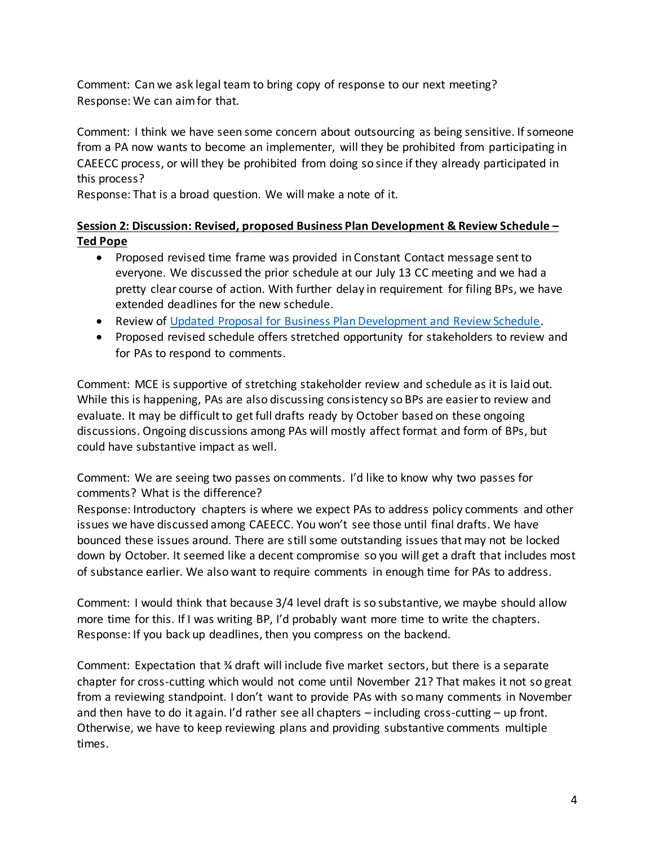Comment: Can we ask legal team to bring copy of response to our next meeting? Response: We can aim for that.

Comment: I think we have seen some concern about outsourcing as being sensitive. If someone from a PA now wants to become an implementer, will they be prohibited from participating in CAEECC process, or will they be prohibited from doing so since if they already participated in this process?

Response: That is a broad question. We will make a note of it.

# **Session 2: Discussion: Revised, proposed Business Plan Development & Review Schedule – Ted Pope**

- Proposed revised time frame was provided in Constant Contact message sent to everyone. We discussed the prior schedule at our July 13 CC meeting and we had a pretty clear course of action. With further delay in requirement for filing BPs, we have extended deadlines for the new schedule.
- Review o[f Updated Proposal for Business Plan Development and Review Schedule.](http://media.wix.com/ugd/0c9650_3b76169d8d6c4d6ab2bc8946d58e281b.pdf)
- Proposed revised schedule offers stretched opportunity for stakeholders to review and for PAs to respond to comments.

Comment: MCE is supportive of stretching stakeholder review and schedule as it is laid out. While this is happening, PAs are also discussing consistency so BPs are easier to review and evaluate. It may be difficult to get full drafts ready by October based on these ongoing discussions. Ongoing discussions among PAs will mostly affect format and form of BPs, but could have substantive impact as well.

Comment: We are seeing two passes on comments. I'd like to know why two passes for comments? What is the difference?

Response: Introductory chapters is where we expect PAs to address policy comments and other issues we have discussed among CAEECC. You won't see those until final drafts. We have bounced these issues around. There are still some outstanding issues that may not be locked down by October. It seemed like a decent compromise so you will get a draft that includes most of substance earlier. We also want to require comments in enough time for PAs to address.

Comment: I would think that because 3/4 level draft is so substantive, we maybe should allow more time for this. If I was writing BP, I'd probably want more time to write the chapters. Response: If you back up deadlines, then you compress on the backend.

Comment: Expectation that ¾ draft will include five market sectors, but there is a separate chapter for cross-cutting which would not come until November 21? That makes it not so great from a reviewing standpoint. I don't want to provide PAs with so many comments in November and then have to do it again. I'd rather see all chapters – including cross-cutting – up front. Otherwise, we have to keep reviewing plans and providing substantive comments multiple times.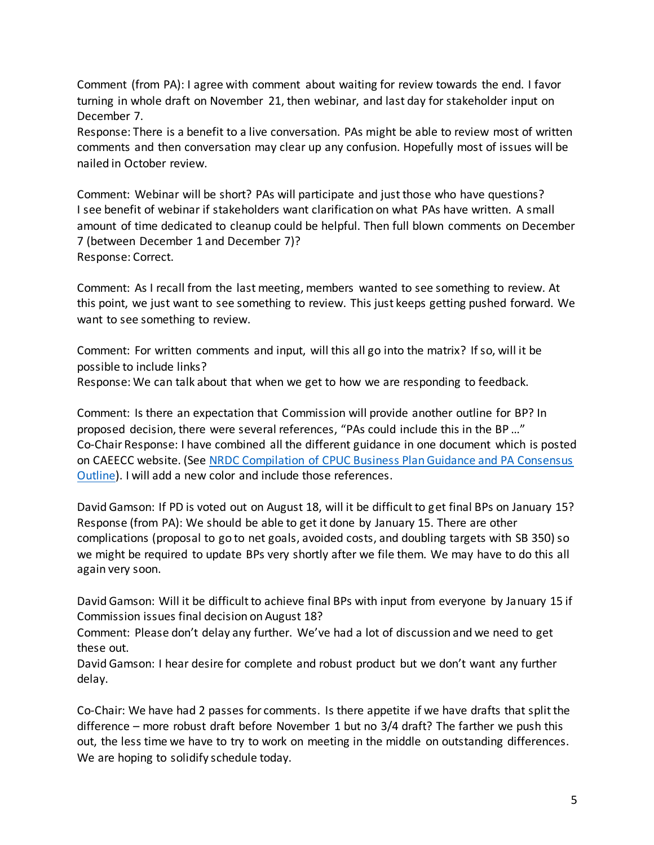Comment (from PA): I agree with comment about waiting for review towards the end. I favor turning in whole draft on November 21, then webinar, and last day for stakeholder input on December 7.

Response: There is a benefit to a live conversation. PAs might be able to review most of written comments and then conversation may clear up any confusion. Hopefully most of issues will be nailed in October review.

Comment: Webinar will be short? PAs will participate and just those who have questions? I see benefit of webinar if stakeholders want clarification on what PAs have written. A small amount of time dedicated to cleanup could be helpful. Then full blown comments on December 7 (between December 1 and December 7)? Response: Correct.

Comment: As I recall from the last meeting, members wanted to see something to review. At this point, we just want to see something to review. This just keeps getting pushed forward. We want to see something to review.

Comment: For written comments and input, will this all go into the matrix? If so, will it be possible to include links?

Response: We can talk about that when we get to how we are responding to feedback.

Comment: Is there an expectation that Commission will provide another outline for BP? In proposed decision, there were several references, "PAs could include this in the BP …" Co-Chair Response: I have combined all the different guidance in one document which is posted on CAEECC website. (See [NRDC Compilation of CPUC Business Plan Guidance and PA Consensus](http://media.wix.com/ugd/0c9650_7303ec4042be401f8224a48b15e446dd.pdf)  [Outline\)](http://media.wix.com/ugd/0c9650_7303ec4042be401f8224a48b15e446dd.pdf). I will add a new color and include those references.

David Gamson: If PD is voted out on August 18, will it be difficult to get final BPs on January 15? Response (from PA): We should be able to get it done by January 15. There are other complications (proposal to go to net goals, avoided costs, and doubling targets with SB 350) so we might be required to update BPs very shortly after we file them. We may have to do this all again very soon.

David Gamson: Will it be difficult to achieve final BPs with input from everyone by January 15 if Commission issues final decision on August 18?

Comment: Please don't delay any further. We've had a lot of discussion and we need to get these out.

David Gamson: I hear desire for complete and robust product but we don't want any further delay.

Co-Chair: We have had 2 passes for comments. Is there appetite if we have drafts that split the difference – more robust draft before November 1 but no 3/4 draft? The farther we push this out, the less time we have to try to work on meeting in the middle on outstanding differences. We are hoping to solidify schedule today.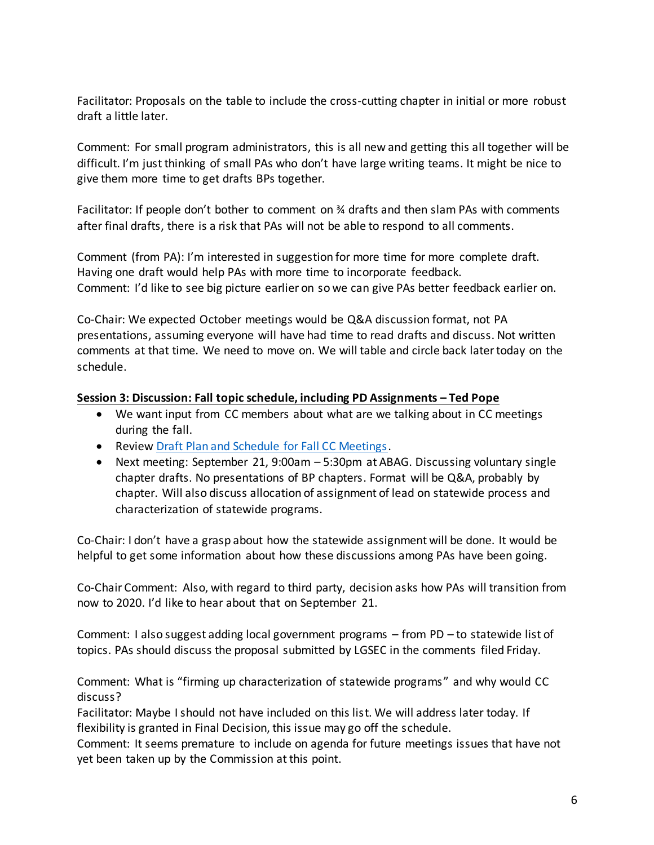Facilitator: Proposals on the table to include the cross-cutting chapter in initial or more robust draft a little later.

Comment: For small program administrators, this is all new and getting this all together will be difficult. I'm just thinking of small PAs who don't have large writing teams. It might be nice to give them more time to get drafts BPs together.

Facilitator: If people don't bother to comment on  $\frac{3}{4}$  drafts and then slam PAs with comments after final drafts, there is a risk that PAs will not be able to respond to all comments.

Comment (from PA): I'm interested in suggestion for more time for more complete draft. Having one draft would help PAs with more time to incorporate feedback. Comment: I'd like to see big picture earlier on so we can give PAs better feedback earlier on.

Co-Chair: We expected October meetings would be Q&A discussion format, not PA presentations, assuming everyone will have had time to read drafts and discuss. Not written comments at that time. We need to move on. We will table and circle back later today on the schedule.

#### **Session 3: Discussion: Fall topic schedule, including PD Assignments – Ted Pope**

- We want input from CC members about what are we talking about in CC meetings during the fall.
- Review [Draft Plan and Schedule for Fall CC Meetings.](http://media.wix.com/ugd/0c9650_ec50ab7da41f4f2c956ff624930c39af.pdf)
- Next meeting: September 21, 9:00am 5:30pm at ABAG. Discussing voluntary single chapter drafts. No presentations of BP chapters. Format will be Q&A, probably by chapter. Will also discuss allocation of assignment of lead on statewide process and characterization of statewide programs.

Co-Chair: I don't have a grasp about how the statewide assignment will be done. It would be helpful to get some information about how these discussions among PAs have been going.

Co-Chair Comment: Also, with regard to third party, decision asks how PAs will transition from now to 2020. I'd like to hear about that on September 21.

Comment: I also suggest adding local government programs – from PD – to statewide list of topics. PAs should discuss the proposal submitted by LGSEC in the comments filed Friday.

Comment: What is "firming up characterization of statewide programs" and why would CC discuss?

Facilitator: Maybe I should not have included on this list. We will address later today. If flexibility is granted in Final Decision, this issue may go off the schedule.

Comment: It seems premature to include on agenda for future meetings issues that have not yet been taken up by the Commission at this point.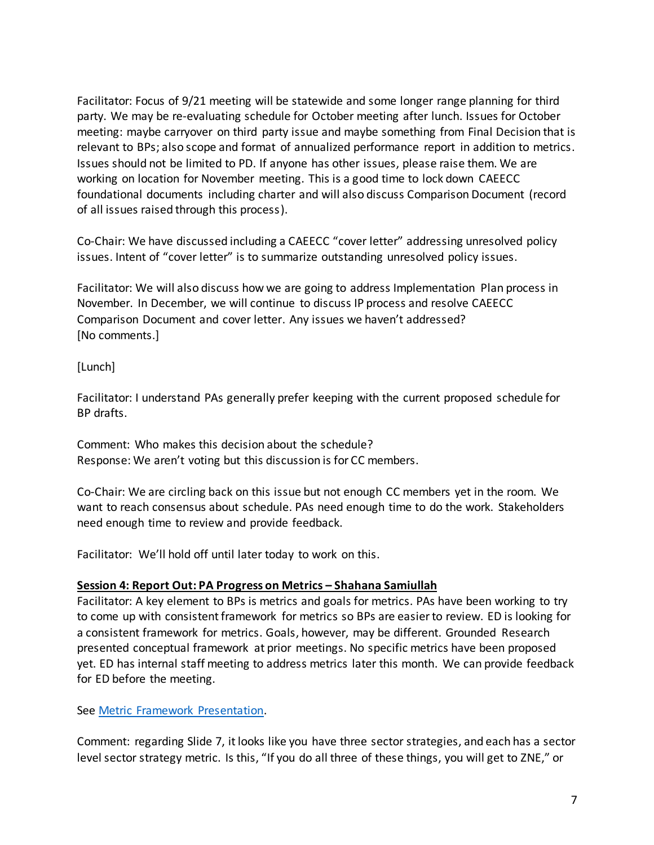Facilitator: Focus of 9/21 meeting will be statewide and some longer range planning for third party. We may be re-evaluating schedule for October meeting after lunch. Issues for October meeting: maybe carryover on third party issue and maybe something from Final Decision that is relevant to BPs; also scope and format of annualized performance report in addition to metrics. Issues should not be limited to PD. If anyone has other issues, please raise them. We are working on location for November meeting. This is a good time to lock down CAEECC foundational documents including charter and will also discuss Comparison Document (record of all issues raised through this process).

Co-Chair: We have discussed including a CAEECC "cover letter" addressing unresolved policy issues. Intent of "cover letter" is to summarize outstanding unresolved policy issues.

Facilitator: We will also discuss how we are going to address Implementation Plan process in November. In December, we will continue to discuss IP process and resolve CAEECC Comparison Document and cover letter. Any issues we haven't addressed? [No comments.]

[Lunch]

Facilitator: I understand PAs generally prefer keeping with the current proposed schedule for BP drafts.

Comment: Who makes this decision about the schedule? Response: We aren't voting but this discussion is for CC members.

Co-Chair: We are circling back on this issue but not enough CC members yet in the room. We want to reach consensus about schedule. PAs need enough time to do the work. Stakeholders need enough time to review and provide feedback.

Facilitator: We'll hold off until later today to work on this.

#### **Session 4: Report Out: PA Progress on Metrics – Shahana Samiullah**

Facilitator: A key element to BPs is metrics and goals for metrics. PAs have been working to try to come up with consistent framework for metrics so BPs are easier to review. ED is looking for a consistent framework for metrics. Goals, however, may be different. Grounded Research presented conceptual framework at prior meetings. No specific metrics have been proposed yet. ED has internal staff meeting to address metrics later this month. We can provide feedback for ED before the meeting.

See [Metric Framework Presentation.](http://media.wix.com/ugd/0c9650_ed41b2f6c4c94a30b2e6a857a1a23677.pdf)

Comment: regarding Slide 7, it looks like you have three sector strategies, and each has a sector level sector strategy metric. Is this, "If you do all three of these things, you will get to ZNE," or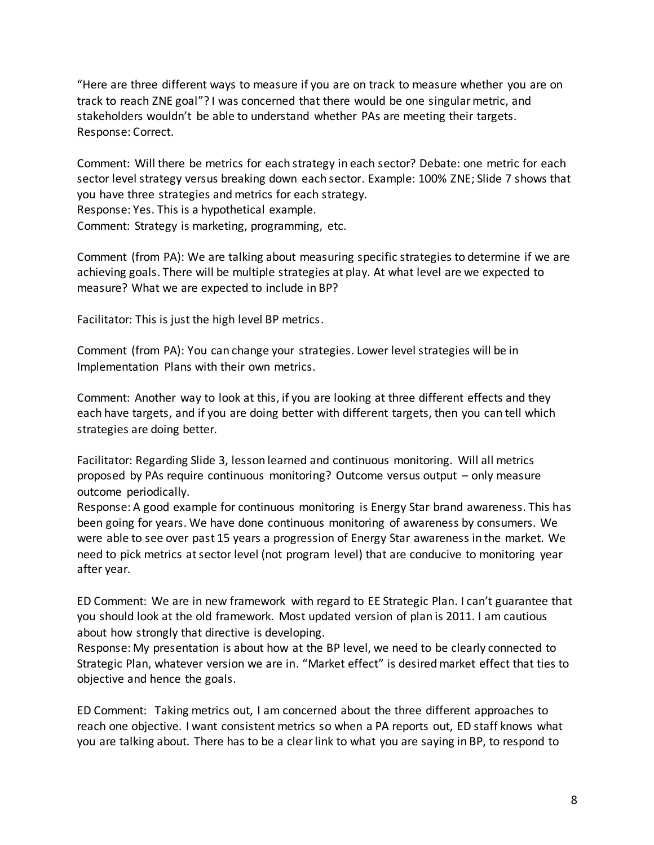"Here are three different ways to measure if you are on track to measure whether you are on track to reach ZNE goal"? I was concerned that there would be one singular metric, and stakeholders wouldn't be able to understand whether PAs are meeting their targets. Response: Correct.

Comment: Will there be metrics for each strategy in each sector? Debate: one metric for each sector level strategy versus breaking down each sector. Example: 100% ZNE; Slide 7 shows that you have three strategies and metrics for each strategy. Response: Yes. This is a hypothetical example.

Comment: Strategy is marketing, programming, etc.

Comment (from PA): We are talking about measuring specific strategies to determine if we are achieving goals. There will be multiple strategies at play. At what level are we expected to measure? What we are expected to include in BP?

Facilitator: This is just the high level BP metrics.

Comment (from PA): You can change your strategies. Lower level strategies will be in Implementation Plans with their own metrics.

Comment: Another way to look at this, if you are looking at three different effects and they each have targets, and if you are doing better with different targets, then you can tell which strategies are doing better.

Facilitator: Regarding Slide 3, lesson learned and continuous monitoring. Will all metrics proposed by PAs require continuous monitoring? Outcome versus output – only measure outcome periodically.

Response: A good example for continuous monitoring is Energy Star brand awareness. This has been going for years. We have done continuous monitoring of awareness by consumers. We were able to see over past 15 years a progression of Energy Star awareness in the market. We need to pick metrics at sector level (not program level) that are conducive to monitoring year after year.

ED Comment: We are in new framework with regard to EE Strategic Plan. I can't guarantee that you should look at the old framework. Most updated version of plan is 2011. I am cautious about how strongly that directive is developing.

Response: My presentation is about how at the BP level, we need to be clearly connected to Strategic Plan, whatever version we are in. "Market effect" is desired market effect that ties to objective and hence the goals.

ED Comment: Taking metrics out, I am concerned about the three different approaches to reach one objective. I want consistent metrics so when a PA reports out, ED staff knows what you are talking about. There has to be a clear link to what you are saying in BP, to respond to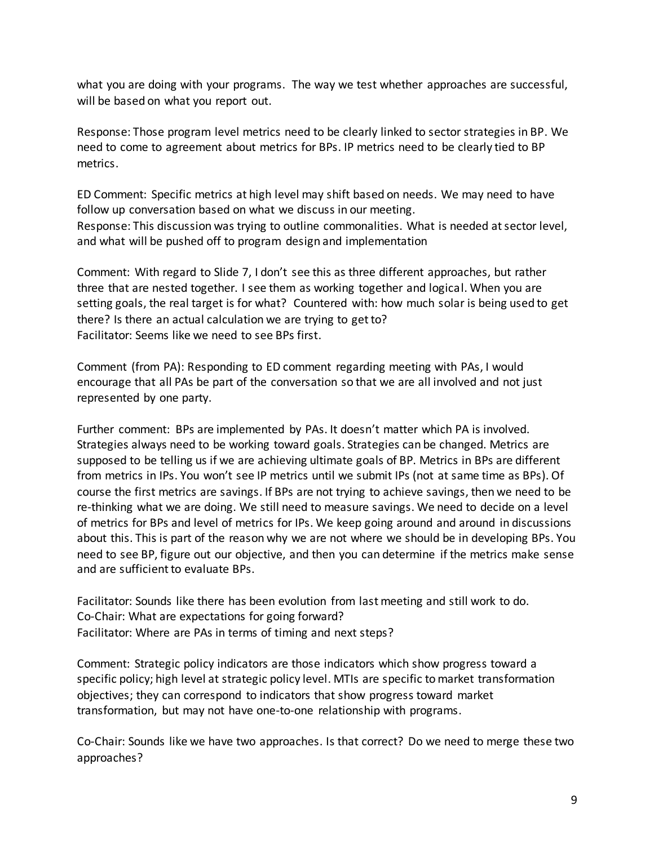what you are doing with your programs. The way we test whether approaches are successful, will be based on what you report out.

Response: Those program level metrics need to be clearly linked to sector strategies in BP. We need to come to agreement about metrics for BPs. IP metrics need to be clearly tied to BP metrics.

ED Comment: Specific metrics at high level may shift based on needs. We may need to have follow up conversation based on what we discuss in our meeting. Response: This discussion was trying to outline commonalities. What is needed at sector level, and what will be pushed off to program design and implementation

Comment: With regard to Slide 7, I don't see this as three different approaches, but rather three that are nested together. I see them as working together and logical. When you are setting goals, the real target is for what? Countered with: how much solar is being used to get there? Is there an actual calculation we are trying to get to? Facilitator: Seems like we need to see BPs first.

Comment (from PA): Responding to ED comment regarding meeting with PAs, I would encourage that all PAs be part of the conversation so that we are all involved and not just represented by one party.

Further comment: BPs are implemented by PAs. It doesn't matter which PA is involved. Strategies always need to be working toward goals. Strategies can be changed. Metrics are supposed to be telling us if we are achieving ultimate goals of BP. Metrics in BPs are different from metrics in IPs. You won't see IP metrics until we submit IPs (not at same time as BPs). Of course the first metrics are savings. If BPs are not trying to achieve savings, then we need to be re-thinking what we are doing. We still need to measure savings. We need to decide on a level of metrics for BPs and level of metrics for IPs. We keep going around and around in discussions about this. This is part of the reason why we are not where we should be in developing BPs. You need to see BP, figure out our objective, and then you can determine if the metrics make sense and are sufficient to evaluate BPs.

Facilitator: Sounds like there has been evolution from last meeting and still work to do. Co-Chair: What are expectations for going forward? Facilitator: Where are PAs in terms of timing and next steps?

Comment: Strategic policy indicators are those indicators which show progress toward a specific policy; high level at strategic policy level. MTIs are specific to market transformation objectives; they can correspond to indicators that show progress toward market transformation, but may not have one-to-one relationship with programs.

Co-Chair: Sounds like we have two approaches. Is that correct? Do we need to merge these two approaches?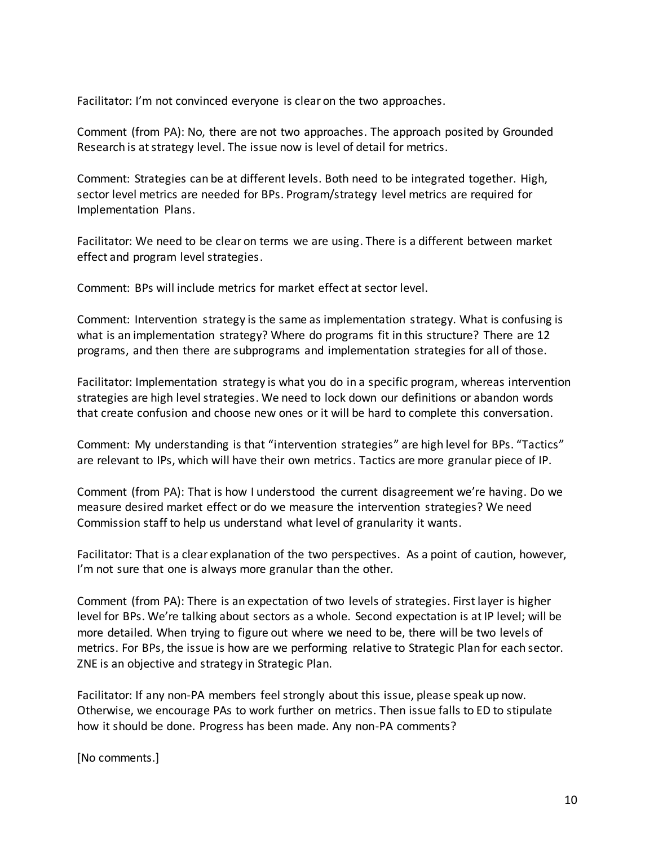Facilitator: I'm not convinced everyone is clear on the two approaches.

Comment (from PA): No, there are not two approaches. The approach posited by Grounded Research is at strategy level. The issue now is level of detail for metrics.

Comment: Strategies can be at different levels. Both need to be integrated together. High, sector level metrics are needed for BPs. Program/strategy level metrics are required for Implementation Plans.

Facilitator: We need to be clear on terms we are using. There is a different between market effect and program level strategies.

Comment: BPs will include metrics for market effect at sector level.

Comment: Intervention strategy is the same as implementation strategy. What is confusing is what is an implementation strategy? Where do programs fit in this structure? There are 12 programs, and then there are subprograms and implementation strategies for all of those.

Facilitator: Implementation strategy is what you do in a specific program, whereas intervention strategies are high level strategies. We need to lock down our definitions or abandon words that create confusion and choose new ones or it will be hard to complete this conversation.

Comment: My understanding is that "intervention strategies" are high level for BPs. "Tactics" are relevant to IPs, which will have their own metrics. Tactics are more granular piece of IP.

Comment (from PA): That is how I understood the current disagreement we're having. Do we measure desired market effect or do we measure the intervention strategies? We need Commission staff to help us understand what level of granularity it wants.

Facilitator: That is a clear explanation of the two perspectives. As a point of caution, however, I'm not sure that one is always more granular than the other.

Comment (from PA): There is an expectation of two levels of strategies. First layer is higher level for BPs. We're talking about sectors as a whole. Second expectation is at IP level; will be more detailed. When trying to figure out where we need to be, there will be two levels of metrics. For BPs, the issue is how are we performing relative to Strategic Plan for each sector. ZNE is an objective and strategy in Strategic Plan.

Facilitator: If any non-PA members feel strongly about this issue, please speak up now. Otherwise, we encourage PAs to work further on metrics. Then issue falls to ED to stipulate how it should be done. Progress has been made. Any non-PA comments?

[No comments.]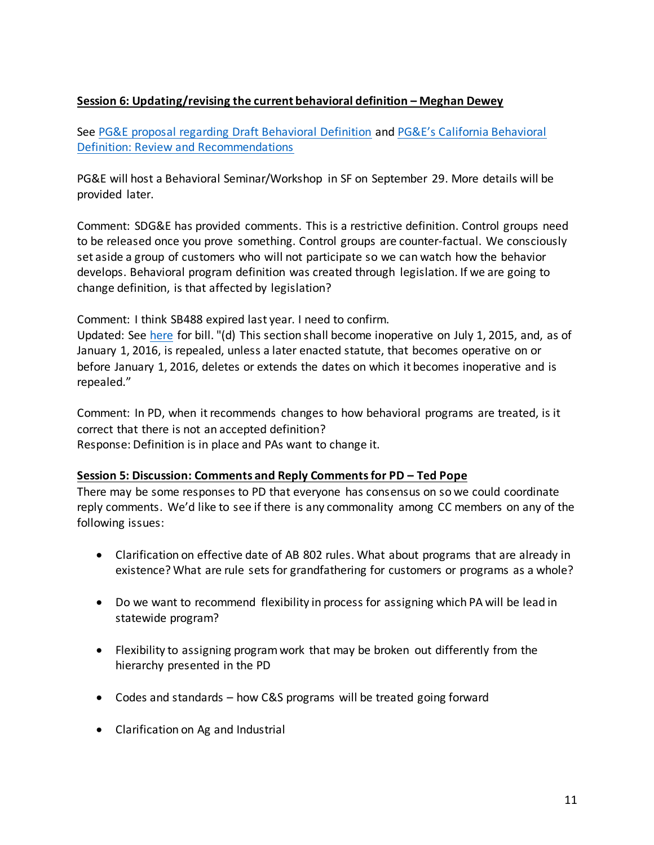### **Session 6: Updating/revising the current behavioral definition – Meghan Dewey**

See [PG&E proposal regarding Draft Behavioral Definition](http://media.wix.com/ugd/0c9650_6f8af93a75df4cb2a22ad7077dfbd80b.pdf) and [PG&E's California Behavioral](http://media.wix.com/ugd/0c9650_45286a28b9294b7da7bb2b8ad9593d0b.pdf)  [Definition: Review and Recommendations](http://media.wix.com/ugd/0c9650_45286a28b9294b7da7bb2b8ad9593d0b.pdf)

PG&E will host a Behavioral Seminar/Workshop in SF on September 29. More details will be provided later.

Comment: SDG&E has provided comments. This is a restrictive definition. Control groups need to be released once you prove something. Control groups are counter-factual. We consciously set aside a group of customers who will not participate so we can watch how the behavior develops. Behavioral program definition was created through legislation. If we are going to change definition, is that affected by legislation?

Comment: I think SB488 expired last year. I need to confirm.

Updated: See [here](http://leginfo.legislature.ca.gov/faces/billNavClient.xhtml?bill_id=200920100SB488) for bill. "(d) This section shall become inoperative on July 1, 2015, and, as of January 1, 2016, is repealed, unless a later enacted statute, that becomes operative on or before January 1, 2016, deletes or extends the dates on which it becomes inoperative and is repealed."

Comment: In PD, when it recommends changes to how behavioral programs are treated, is it correct that there is not an accepted definition? Response: Definition is in place and PAs want to change it.

#### **Session 5: Discussion: Comments and Reply Comments for PD – Ted Pope**

There may be some responses to PD that everyone has consensus on so we could coordinate reply comments. We'd like to see if there is any commonality among CC members on any of the following issues:

- Clarification on effective date of AB 802 rules. What about programs that are already in existence? What are rule sets for grandfathering for customers or programs as a whole?
- Do we want to recommend flexibility in process for assigning which PA will be lead in statewide program?
- Flexibility to assigning program work that may be broken out differently from the hierarchy presented in the PD
- Codes and standards how C&S programs will be treated going forward
- Clarification on Ag and Industrial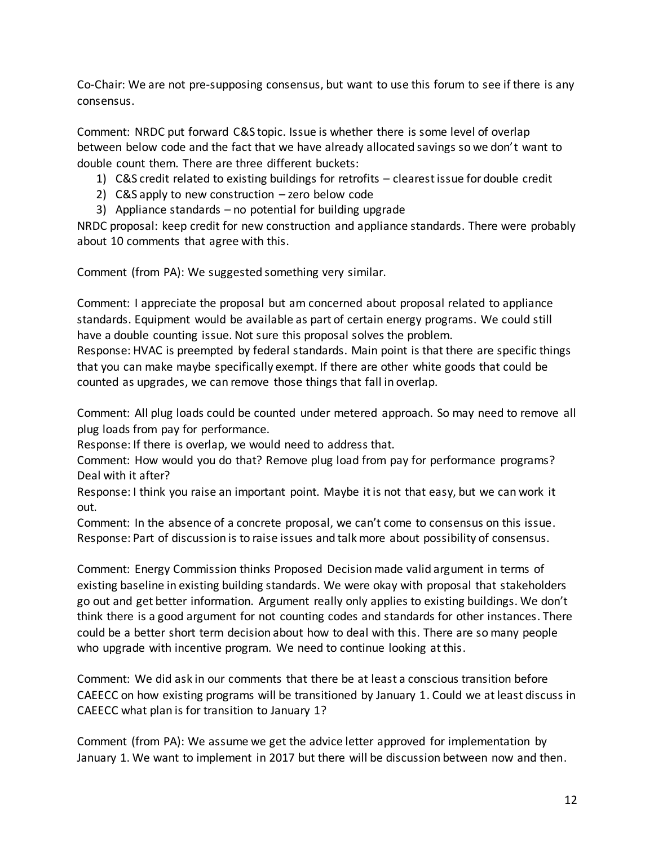Co-Chair: We are not pre-supposing consensus, but want to use this forum to see if there is any consensus.

Comment: NRDC put forward C&S topic. Issue is whether there is some level of overlap between below code and the fact that we have already allocated savings so we don't want to double count them. There are three different buckets:

- 1) C&S credit related to existing buildings for retrofits clearest issue for double credit
- 2) C&S apply to new construction zero below code
- 3) Appliance standards no potential for building upgrade

NRDC proposal: keep credit for new construction and appliance standards. There were probably about 10 comments that agree with this.

Comment (from PA): We suggested something very similar.

Comment: I appreciate the proposal but am concerned about proposal related to appliance standards. Equipment would be available as part of certain energy programs. We could still have a double counting issue. Not sure this proposal solves the problem.

Response: HVAC is preempted by federal standards. Main point is that there are specific things that you can make maybe specifically exempt. If there are other white goods that could be counted as upgrades, we can remove those things that fall in overlap.

Comment: All plug loads could be counted under metered approach. So may need to remove all plug loads from pay for performance.

Response: If there is overlap, we would need to address that.

Comment: How would you do that? Remove plug load from pay for performance programs? Deal with it after?

Response: I think you raise an important point. Maybe it is not that easy, but we can work it out.

Comment: In the absence of a concrete proposal, we can't come to consensus on this issue. Response: Part of discussion is to raise issues and talk more about possibility of consensus.

Comment: Energy Commission thinks Proposed Decision made valid argument in terms of existing baseline in existing building standards. We were okay with proposal that stakeholders go out and get better information. Argument really only applies to existing buildings. We don't think there is a good argument for not counting codes and standards for other instances. There could be a better short term decision about how to deal with this. There are so many people who upgrade with incentive program. We need to continue looking at this.

Comment: We did ask in our comments that there be at least a conscious transition before CAEECC on how existing programs will be transitioned by January 1. Could we at least discuss in CAEECC what plan is for transition to January 1?

Comment (from PA): We assume we get the advice letter approved for implementation by January 1. We want to implement in 2017 but there will be discussion between now and then.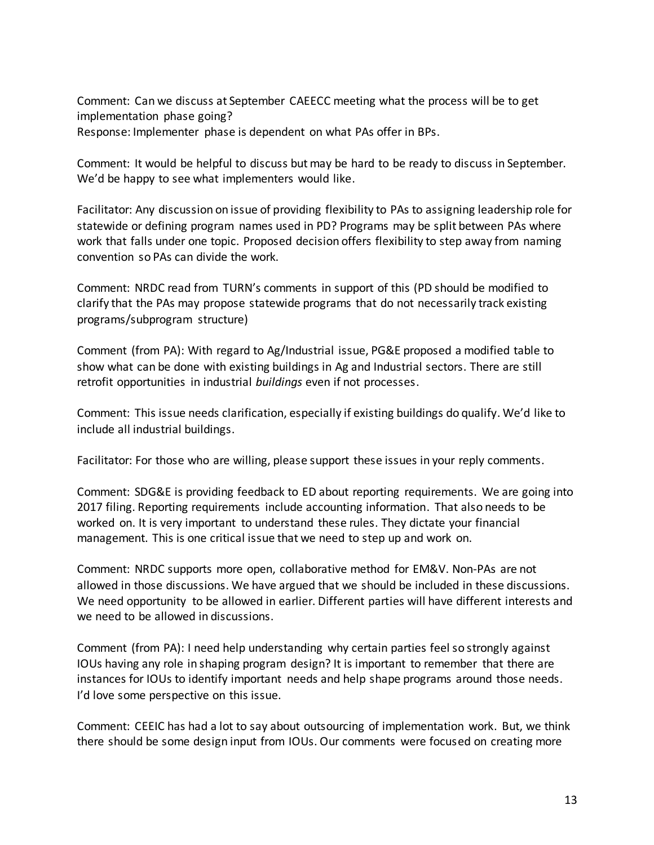Comment: Can we discuss at September CAEECC meeting what the process will be to get implementation phase going? Response: Implementer phase is dependent on what PAs offer in BPs.

Comment: It would be helpful to discuss but may be hard to be ready to discuss in September. We'd be happy to see what implementers would like.

Facilitator: Any discussion on issue of providing flexibility to PAs to assigning leadership role for statewide or defining program names used in PD? Programs may be split between PAs where work that falls under one topic. Proposed decision offers flexibility to step away from naming convention so PAs can divide the work.

Comment: NRDC read from TURN's comments in support of this (PD should be modified to clarify that the PAs may propose statewide programs that do not necessarily track existing programs/subprogram structure)

Comment (from PA): With regard to Ag/Industrial issue, PG&E proposed a modified table to show what can be done with existing buildings in Ag and Industrial sectors. There are still retrofit opportunities in industrial *buildings* even if not processes.

Comment: This issue needs clarification, especially if existing buildings do qualify. We'd like to include all industrial buildings.

Facilitator: For those who are willing, please support these issues in your reply comments.

Comment: SDG&E is providing feedback to ED about reporting requirements. We are going into 2017 filing. Reporting requirements include accounting information. That also needs to be worked on. It is very important to understand these rules. They dictate your financial management. This is one critical issue that we need to step up and work on.

Comment: NRDC supports more open, collaborative method for EM&V. Non-PAs are not allowed in those discussions. We have argued that we should be included in these discussions. We need opportunity to be allowed in earlier. Different parties will have different interests and we need to be allowed in discussions.

Comment (from PA): I need help understanding why certain parties feel so strongly against IOUs having any role in shaping program design? It is important to remember that there are instances for IOUs to identify important needs and help shape programs around those needs. I'd love some perspective on this issue.

Comment: CEEIC has had a lot to say about outsourcing of implementation work. But, we think there should be some design input from IOUs. Our comments were focused on creating more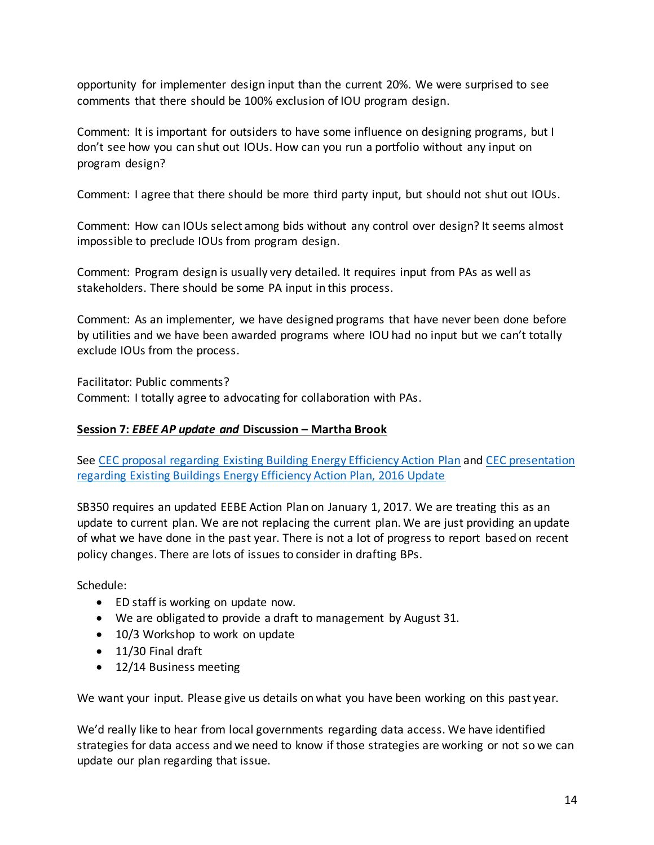opportunity for implementer design input than the current 20%. We were surprised to see comments that there should be 100% exclusion of IOU program design.

Comment: It is important for outsiders to have some influence on designing programs, but I don't see how you can shut out IOUs. How can you run a portfolio without any input on program design?

Comment: I agree that there should be more third party input, but should not shut out IOUs.

Comment: How can IOUs select among bids without any control over design? It seems almost impossible to preclude IOUs from program design.

Comment: Program design is usually very detailed. It requires input from PAs as well as stakeholders. There should be some PA input in this process.

Comment: As an implementer, we have designed programs that have never been done before by utilities and we have been awarded programs where IOU had no input but we can't totally exclude IOUs from the process.

Facilitator: Public comments? Comment: I totally agree to advocating for collaboration with PAs.

## **Session 7:** *EBEE AP update and* **Discussion – Martha Brook**

See [CEC proposal regarding Existing Building Energy Efficiency Action Plan](http://media.wix.com/ugd/0c9650_bc43a81cf08846b5b32ea7be31e7ee36.pdf) an[d CEC presentation](http://media.wix.com/ugd/0c9650_04bed67bbe50491790b07776661ba3b1.pdf)  [regarding Existing Buildings Energy Efficiency Action Plan, 2016 Update](http://media.wix.com/ugd/0c9650_04bed67bbe50491790b07776661ba3b1.pdf)

SB350 requires an updated EEBE Action Plan on January 1, 2017. We are treating this as an update to current plan. We are not replacing the current plan. We are just providing an update of what we have done in the past year. There is not a lot of progress to report based on recent policy changes. There are lots of issues to consider in drafting BPs.

Schedule:

- ED staff is working on update now.
- We are obligated to provide a draft to management by August 31.
- 10/3 Workshop to work on update
- 11/30 Final draft
- 12/14 Business meeting

We want your input. Please give us details on what you have been working on this past year.

We'd really like to hear from local governments regarding data access. We have identified strategies for data access and we need to know if those strategies are working or not so we can update our plan regarding that issue.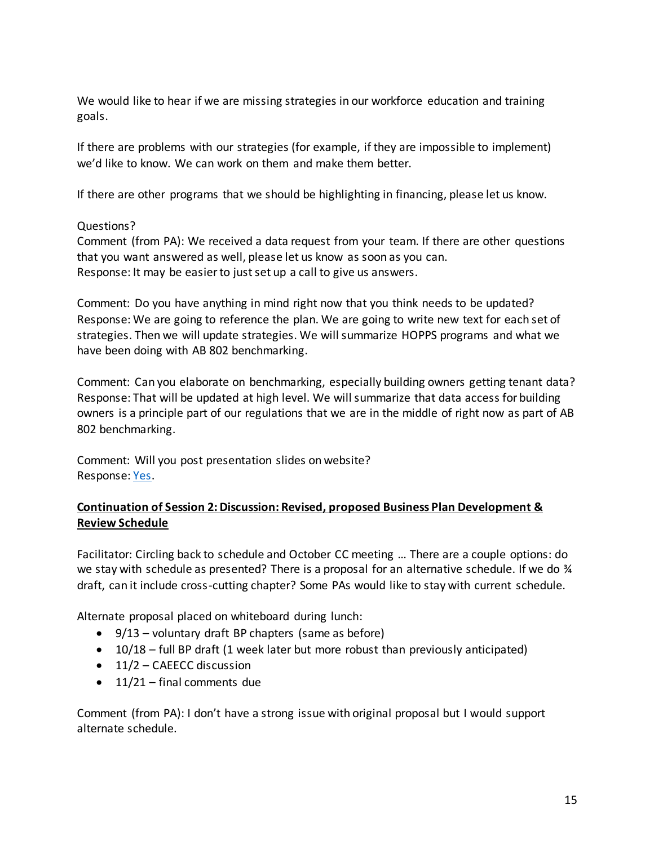We would like to hear if we are missing strategies in our workforce education and training goals.

If there are problems with our strategies (for example, if they are impossible to implement) we'd like to know. We can work on them and make them better.

If there are other programs that we should be highlighting in financing, please let us know.

### Questions?

Comment (from PA): We received a data request from your team. If there are other questions that you want answered as well, please let us know as soon as you can. Response: It may be easier to just set up a call to give us answers.

Comment: Do you have anything in mind right now that you think needs to be updated? Response: We are going to reference the plan. We are going to write new text for each set of strategies. Then we will update strategies. We will summarize HOPPS programs and what we have been doing with AB 802 benchmarking.

Comment: Can you elaborate on benchmarking, especially building owners getting tenant data? Response: That will be updated at high level. We will summarize that data access for building owners is a principle part of our regulations that we are in the middle of right now as part of AB 802 benchmarking.

Comment: Will you post presentation slides on website? Response[: Yes.](http://media.wix.com/ugd/0c9650_04bed67bbe50491790b07776661ba3b1.pdf)

### **Continuation of Session 2: Discussion: Revised, proposed Business Plan Development & Review Schedule**

Facilitator: Circling back to schedule and October CC meeting … There are a couple options: do we stay with schedule as presented? There is a proposal for an alternative schedule. If we do  $\frac{3}{4}$ draft, can it include cross-cutting chapter? Some PAs would like to stay with current schedule.

Alternate proposal placed on whiteboard during lunch:

- $\bullet$  9/13 voluntary draft BP chapters (same as before)
- $\bullet$  10/18 full BP draft (1 week later but more robust than previously anticipated)
- $\bullet$  11/2 CAEECC discussion
- $\bullet$  11/21 final comments due

Comment (from PA): I don't have a strong issue with original proposal but I would support alternate schedule.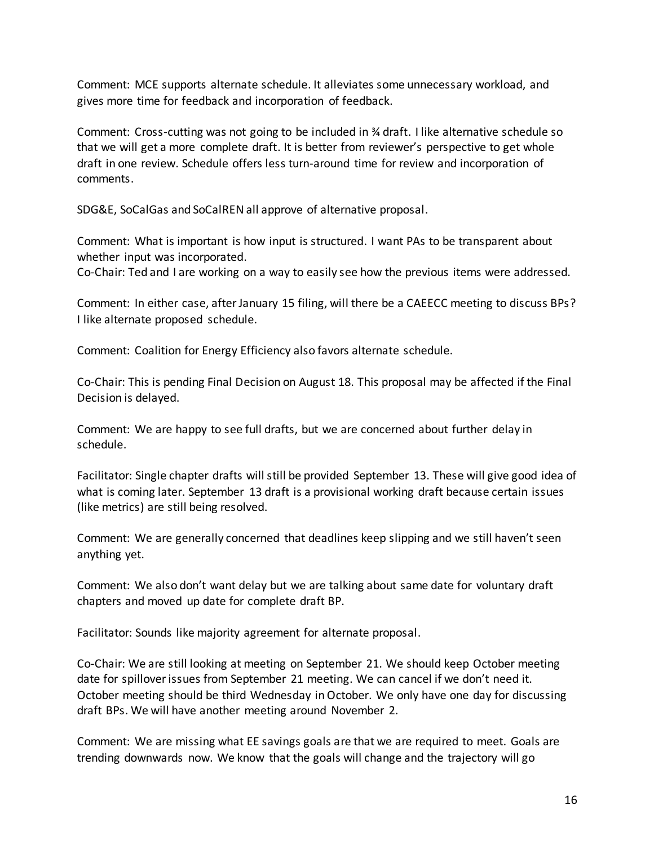Comment: MCE supports alternate schedule. It alleviates some unnecessary workload, and gives more time for feedback and incorporation of feedback.

Comment: Cross-cutting was not going to be included in  $\frac{3}{4}$  draft. I like alternative schedule so that we will get a more complete draft. It is better from reviewer's perspective to get whole draft in one review. Schedule offers less turn-around time for review and incorporation of comments.

SDG&E, SoCalGas and SoCalREN all approve of alternative proposal.

Comment: What is important is how input is structured. I want PAs to be transparent about whether input was incorporated.

Co-Chair: Ted and I are working on a way to easily see how the previous items were addressed.

Comment: In either case, after January 15 filing, will there be a CAEECC meeting to discuss BPs? I like alternate proposed schedule.

Comment: Coalition for Energy Efficiency also favors alternate schedule.

Co-Chair: This is pending Final Decision on August 18. This proposal may be affected if the Final Decision is delayed.

Comment: We are happy to see full drafts, but we are concerned about further delay in schedule.

Facilitator: Single chapter drafts will still be provided September 13. These will give good idea of what is coming later. September 13 draft is a provisional working draft because certain issues (like metrics) are still being resolved.

Comment: We are generally concerned that deadlines keep slipping and we still haven't seen anything yet.

Comment: We also don't want delay but we are talking about same date for voluntary draft chapters and moved up date for complete draft BP.

Facilitator: Sounds like majority agreement for alternate proposal.

Co-Chair: We are still looking at meeting on September 21. We should keep October meeting date for spillover issues from September 21 meeting. We can cancel if we don't need it. October meeting should be third Wednesday in October. We only have one day for discussing draft BPs. We will have another meeting around November 2.

Comment: We are missing what EE savings goals are that we are required to meet. Goals are trending downwards now. We know that the goals will change and the trajectory will go